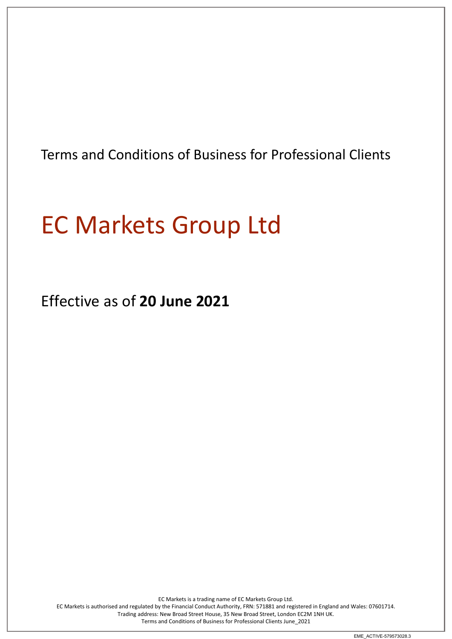Terms and Conditions of Business for Professional Clients

# EC Markets Group Ltd

Effective as of **20 June 2021**

EC Markets is a trading name of EC Markets Group Ltd. EC Markets is authorised and regulated by the Financial Conduct Authority, FRN: 571881 and registered in England and Wales: 07601714. Trading address: New Broad Street House, 35 New Broad Street, London EC2M 1NH UK. Terms and Conditions of Business for Professional Clients June\_2021

EME\_ACTIVE-579573028.3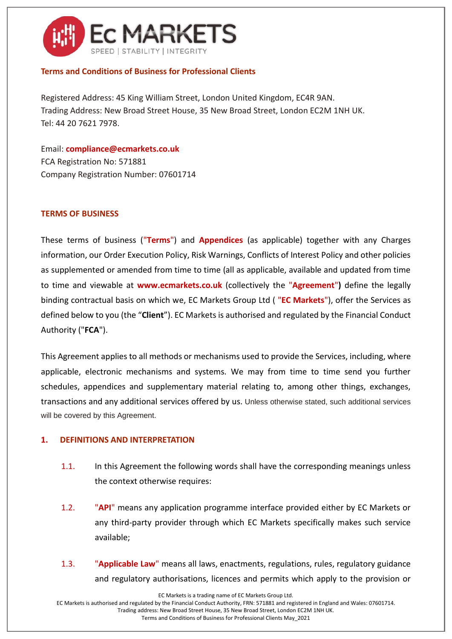

## **Terms and Conditions of Business for Professional Clients**

Registered Address: 45 King William Street, London United Kingdom, EC4R 9AN. Trading Address: New Broad Street House, 35 New Broad Street, London EC2M 1NH UK. Tel: 44 20 7621 7978.

Email: **compliance@ecmarkets.co.uk** FCA Registration No: 571881 Company Registration Number: 07601714

## **TERMS OF BUSINESS**

These terms of business ("**Terms**") and **Appendices** (as applicable) together with any Charges information, our Order Execution Policy, Risk Warnings, Conflicts of Interest Policy and other policies as supplemented or amended from time to time (all as applicable, available and updated from time to time and viewable at **www.ecmarkets.co.uk** (collectively the "**Agreement**"**)** define the legally binding contractual basis on which we, EC Markets Group Ltd ( "**EC Markets**"), offer the Services as defined below to you (the "**Client**"). EC Markets is authorised and regulated by the Financial Conduct Authority ("**FCA**").

This Agreement applies to all methods or mechanisms used to provide the Services, including, where applicable, electronic mechanisms and systems. We may from time to time send you further schedules, appendices and supplementary material relating to, among other things, exchanges, transactions and any additional services offered by us. Unless otherwise stated, such additional services will be covered by this Agreement.

#### **1. DEFINITIONS AND INTERPRETATION**

- 1.1. In this Agreement the following words shall have the corresponding meanings unless the context otherwise requires:
- 1.2. "**API**" means any application programme interface provided either by EC Markets or any third-party provider through which EC Markets specifically makes such service available;
- 1.3. "**Applicable Law**" means all laws, enactments, regulations, rules, regulatory guidance and regulatory authorisations, licences and permits which apply to the provision or

EC Markets is a trading name of EC Markets Group Ltd.

EC Markets is authorised and regulated by the Financial Conduct Authority, FRN: 571881 and registered in England and Wales: 07601714. Trading address: New Broad Street House, 35 New Broad Street, London EC2M 1NH UK.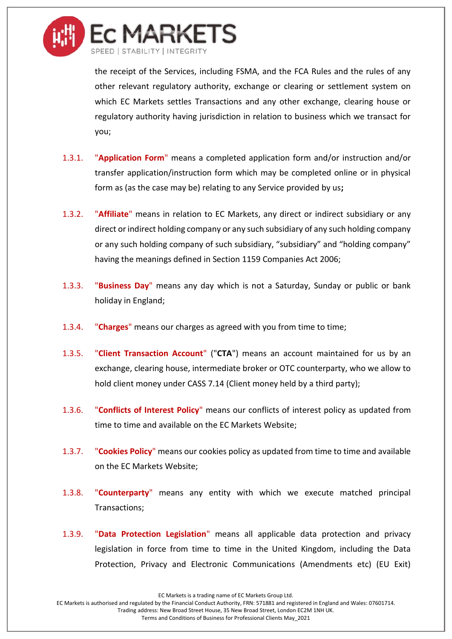

the receipt of the Services, including FSMA, and the FCA Rules and the rules of any other relevant regulatory authority, exchange or clearing or settlement system on which EC Markets settles Transactions and any other exchange, clearing house or regulatory authority having jurisdiction in relation to business which we transact for you;

- 1.3.1. "**Application Form**" means a completed application form and/or instruction and/or transfer application/instruction form which may be completed online or in physical form as (as the case may be) relating to any Service provided by us**;**
- 1.3.2. "**Affiliate**" means in relation to EC Markets, any direct or indirect subsidiary or any direct or indirect holding company or any such subsidiary of any such holding company or any such holding company of such subsidiary, "subsidiary" and "holding company" having the meanings defined in Section 1159 Companies Act 2006;
- 1.3.3. "**Business Day**" means any day which is not a Saturday, Sunday or public or bank holiday in England;
- 1.3.4. "**Charges**" means our charges as agreed with you from time to time;
- 1.3.5. "**Client Transaction Account**" ("**CTA**") means an account maintained for us by an exchange, clearing house, intermediate broker or OTC counterparty, who we allow to hold client money under CASS 7.14 (Client money held by a third party);
- 1.3.6. "**Conflicts of Interest Policy**" means our conflicts of interest policy as updated from time to time and available on the EC Markets Website;
- 1.3.7. "**Cookies Policy**" means our cookies policy as updated from time to time and available on the EC Markets Website;
- 1.3.8. "**Counterparty**" means any entity with which we execute matched principal Transactions;
- 1.3.9. "**Data Protection Legislation**" means all applicable data protection and privacy legislation in force from time to time in the United Kingdom, including the Data Protection, Privacy and Electronic Communications (Amendments etc) (EU Exit)

EC Markets is a trading name of EC Markets Group Ltd.

EC Markets is authorised and regulated by the Financial Conduct Authority, FRN: 571881 and registered in England and Wales: 07601714. Trading address: New Broad Street House, 35 New Broad Street, London EC2M 1NH UK.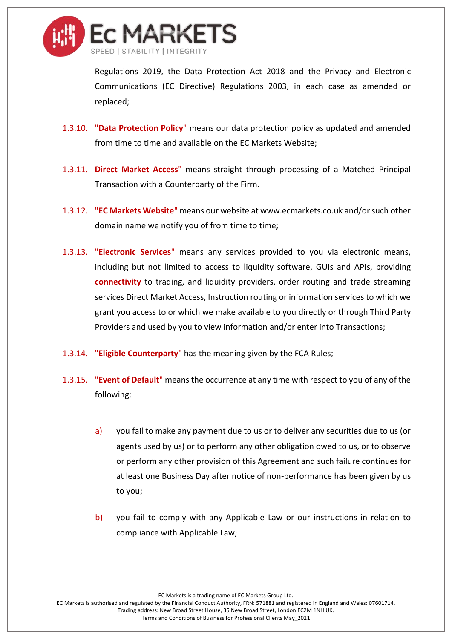

Regulations 2019, the Data Protection Act 2018 and the Privacy and Electronic Communications (EC Directive) Regulations 2003, in each case as amended or replaced;

- 1.3.10. "**Data Protection Policy**" means our data protection policy as updated and amended from time to time and available on the EC Markets Website;
- 1.3.11. **Direct Market Access**" means straight through processing of a Matched Principal Transaction with a Counterparty of the Firm.
- 1.3.12. "**EC Markets Website**" means our website at www.ecmarkets.co.uk and/or such other domain name we notify you of from time to time;
- 1.3.13. "**Electronic Services**" means any services provided to you via electronic means, including but not limited to access to liquidity software, GUIs and APIs, providing **connectivity** to trading, and liquidity providers, order routing and trade streaming services Direct Market Access, Instruction routing or information services to which we grant you access to or which we make available to you directly or through Third Party Providers and used by you to view information and/or enter into Transactions;
- 1.3.14. "**Eligible Counterparty**" has the meaning given by the FCA Rules;
- 1.3.15. "**Event of Default**" means the occurrence at any time with respect to you of any of the following:
	- a) you fail to make any payment due to us or to deliver any securities due to us (or agents used by us) or to perform any other obligation owed to us, or to observe or perform any other provision of this Agreement and such failure continues for at least one Business Day after notice of non-performance has been given by us to you;
	- b) you fail to comply with any Applicable Law or our instructions in relation to compliance with Applicable Law;

EC Markets is a trading name of EC Markets Group Ltd.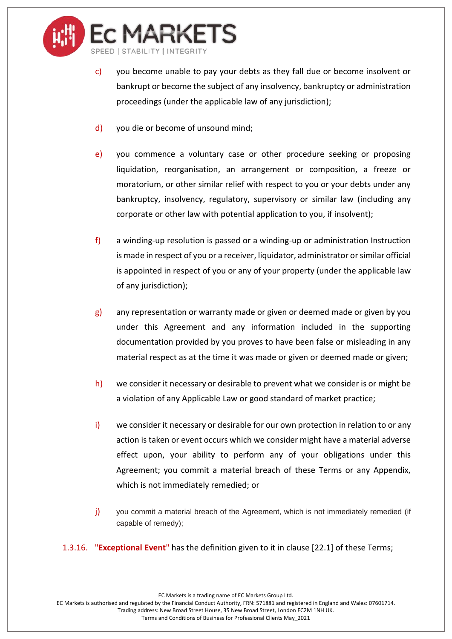

- c) you become unable to pay your debts as they fall due or become insolvent or bankrupt or become the subject of any insolvency, bankruptcy or administration proceedings (under the applicable law of any jurisdiction);
- d) you die or become of unsound mind;
- e) you commence a voluntary case or other procedure seeking or proposing liquidation, reorganisation, an arrangement or composition, a freeze or moratorium, or other similar relief with respect to you or your debts under any bankruptcy, insolvency, regulatory, supervisory or similar law (including any corporate or other law with potential application to you, if insolvent);
- f) a winding-up resolution is passed or a winding-up or administration Instruction is made in respect of you or a receiver, liquidator, administrator or similar official is appointed in respect of you or any of your property (under the applicable law of any jurisdiction);
- $g$ ) any representation or warranty made or given or deemed made or given by you under this Agreement and any information included in the supporting documentation provided by you proves to have been false or misleading in any material respect as at the time it was made or given or deemed made or given;
- h) we consider it necessary or desirable to prevent what we consider is or might be a violation of any Applicable Law or good standard of market practice;
- i) we consider it necessary or desirable for our own protection in relation to or any action is taken or event occurs which we consider might have a material adverse effect upon, your ability to perform any of your obligations under this Agreement; you commit a material breach of these Terms or any Appendix, which is not immediately remedied; or
- j) you commit a material breach of the Agreement, which is not immediately remedied (if capable of remedy);
- 1.3.16. "**Exceptional Event**" has the definition given to it in clause [\[22.1\]](#page-29-0) of these Terms;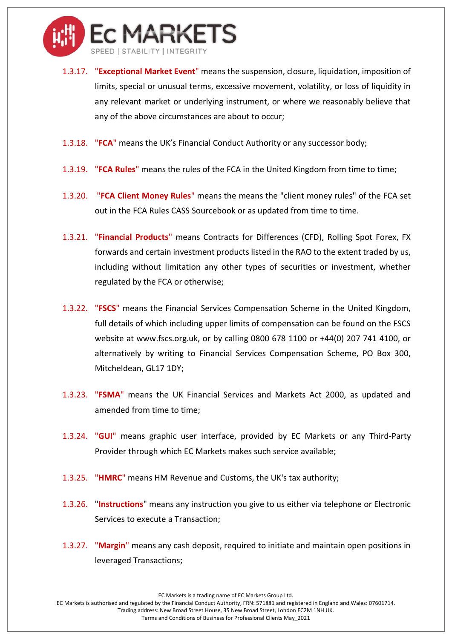

- 1.3.17. "**Exceptional Market Event**" means the suspension, closure, liquidation, imposition of limits, special or unusual terms, excessive movement, volatility, or loss of liquidity in any relevant market or underlying instrument, or where we reasonably believe that any of the above circumstances are about to occur;
- 1.3.18. "**FCA**" means the UK's Financial Conduct Authority or any successor body;
- 1.3.19. "**FCA Rules**" means the rules of the FCA in the United Kingdom from time to time;
- 1.3.20. "**FCA Client Money Rules**" means the means the "client money rules" of the FCA set out in the FCA Rules CASS Sourcebook or as updated from time to time.
- 1.3.21. "**Financial Products**" means Contracts for Differences (CFD), Rolling Spot Forex, FX forwards and certain investment products listed in the RAO to the extent traded by us, including without limitation any other types of securities or investment, whether regulated by the FCA or otherwise;
- 1.3.22. "**FSCS**" means the Financial Services Compensation Scheme in the United Kingdom, full details of which including upper limits of compensation can be found on the FSCS website at www.fscs.org.uk, or by calling 0800 678 1100 or +44(0) 207 741 4100, or alternatively by writing to Financial Services Compensation Scheme, PO Box 300, Mitcheldean, GL17 1DY;
- 1.3.23. "**FSMA**" means the UK Financial Services and Markets Act 2000, as updated and amended from time to time;
- 1.3.24. "**GUI**" means graphic user interface, provided by EC Markets or any Third-Party Provider through which EC Markets makes such service available;
- 1.3.25. "**HMRC**" means HM Revenue and Customs, the UK's tax authority;
- 1.3.26. "**Instructions**" means any instruction you give to us either via telephone or Electronic Services to execute a Transaction;
- 1.3.27. "**Margin**" means any cash deposit, required to initiate and maintain open positions in leveraged Transactions;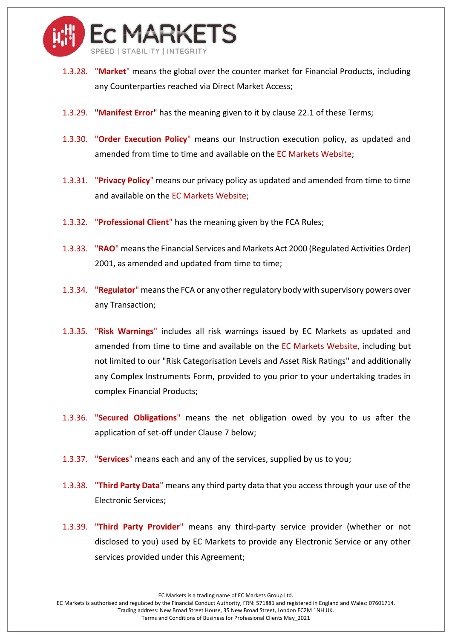

- 1.3.28. "**Market**" means the global over the counter market for Financial Products, including any Counterparties reached via Direct Market Access;
- 1.3.29. "**Manifest Error**" has the meaning given to it by clause [22.1](#page-29-0) of these Terms;
- 1.3.30. "**Order Execution Policy**" means our Instruction execution policy, as updated and amended from time to time and available on the EC Markets Website;
- 1.3.31. "**Privacy Policy**" means our privacy policy as updated and amended from time to time and available on the EC Markets Website;
- 1.3.32. "**Professional Client**" has the meaning given by the FCA Rules;
- 1.3.33. "**RAO**" means the Financial Services and Markets Act 2000 (Regulated Activities Order) 2001, as amended and updated from time to time;
- 1.3.34. "**Regulator**" means the FCA or any other regulatory body with supervisory powers over any Transaction;
- 1.3.35. "**Risk Warnings**" includes all risk warnings issued by EC Markets as updated and amended from time to time and available on the EC Markets Website, including but not limited to our "Risk Categorisation Levels and Asset Risk Ratings" and additionally any Complex Instruments Form, provided to you prior to your undertaking trades in complex Financial Products;
- 1.3.36. "**Secured Obligations**" means the net obligation owed by you to us after the application of set-off under Clause [7](#page-13-0) below;
- 1.3.37. "**Services**" means each and any of the services, supplied by us to you;
- 1.3.38. "**Third Party Data**" means any third party data that you access through your use of the Electronic Services;
- 1.3.39. "**Third Party Provider**" means any third-party service provider (whether or not disclosed to you) used by EC Markets to provide any Electronic Service or any other services provided under this Agreement;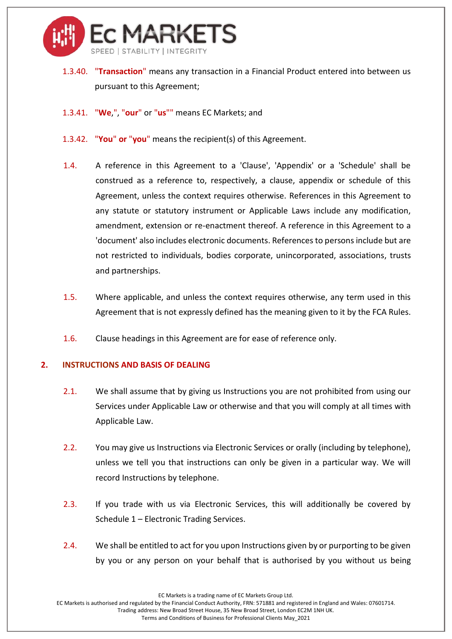

- 1.3.40. "**Transaction**" means any transaction in a Financial Product entered into between us pursuant to this Agreement;
- 1.3.41. "**We**,", "**our**" or "**us**"" means EC Markets; and
- 1.3.42. "**You**" **or** "**you**" means the recipient(s) of this Agreement.
- 1.4. A reference in this Agreement to a 'Clause', 'Appendix' or a 'Schedule' shall be construed as a reference to, respectively, a clause, appendix or schedule of this Agreement, unless the context requires otherwise. References in this Agreement to any statute or statutory instrument or Applicable Laws include any modification, amendment, extension or re-enactment thereof. A reference in this Agreement to a 'document' also includes electronic documents. References to persons include but are not restricted to individuals, bodies corporate, unincorporated, associations, trusts and partnerships.
- 1.5. Where applicable, and unless the context requires otherwise, any term used in this Agreement that is not expressly defined has the meaning given to it by the FCA Rules.
- 1.6. Clause headings in this Agreement are for ease of reference only.

#### **2. INSTRUCTIONS AND BASIS OF DEALING**

- 2.1. We shall assume that by giving us Instructions you are not prohibited from using our Services under Applicable Law or otherwise and that you will comply at all times with Applicable Law.
- 2.2. You may give us Instructions via Electronic Services or orally (including by telephone), unless we tell you that instructions can only be given in a particular way. We will record Instructions by telephone.
- 2.3. If you trade with us via Electronic Services, this will additionally be covered by Schedule 1 – Electronic Trading Services.
- 2.4. We shall be entitled to act for you upon Instructions given by or purporting to be given by you or any person on your behalf that is authorised by you without us being

EC Markets is a trading name of EC Markets Group Ltd.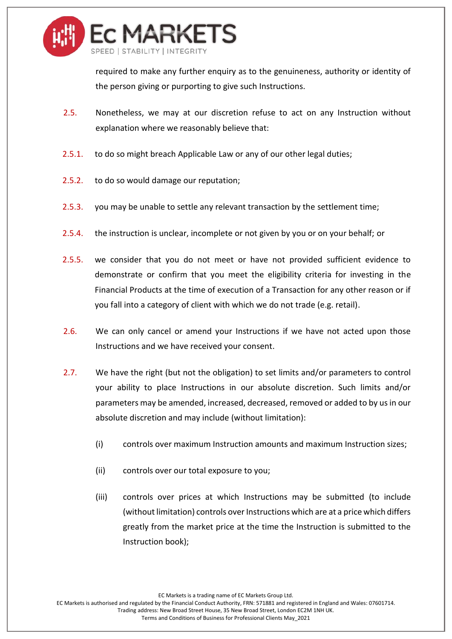

required to make any further enquiry as to the genuineness, authority or identity of the person giving or purporting to give such Instructions.

- 2.5. Nonetheless, we may at our discretion refuse to act on any Instruction without explanation where we reasonably believe that:
- 2.5.1. to do so might breach Applicable Law or any of our other legal duties;
- 2.5.2. to do so would damage our reputation;
- 2.5.3. you may be unable to settle any relevant transaction by the settlement time;
- 2.5.4. the instruction is unclear, incomplete or not given by you or on your behalf; or
- 2.5.5. we consider that you do not meet or have not provided sufficient evidence to demonstrate or confirm that you meet the eligibility criteria for investing in the Financial Products at the time of execution of a Transaction for any other reason or if you fall into a category of client with which we do not trade (e.g. retail).
- 2.6. We can only cancel or amend your Instructions if we have not acted upon those Instructions and we have received your consent.
- 2.7. We have the right (but not the obligation) to set limits and/or parameters to control your ability to place Instructions in our absolute discretion. Such limits and/or parameters may be amended, increased, decreased, removed or added to by us in our absolute discretion and may include (without limitation):
	- (i) controls over maximum Instruction amounts and maximum Instruction sizes;
	- (ii) controls over our total exposure to you;
	- (iii) controls over prices at which Instructions may be submitted (to include (without limitation) controls over Instructions which are at a price which differs greatly from the market price at the time the Instruction is submitted to the Instruction book);

EC Markets is a trading name of EC Markets Group Ltd.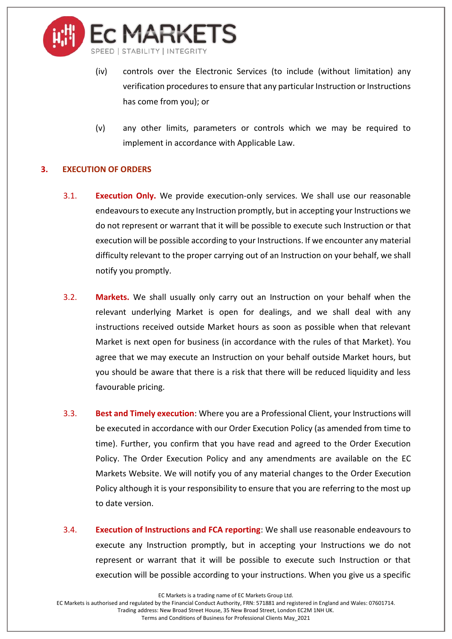

- (iv) controls over the Electronic Services (to include (without limitation) any verification procedures to ensure that any particular Instruction or Instructions has come from you); or
- (v) any other limits, parameters or controls which we may be required to implement in accordance with Applicable Law.

# **3. EXECUTION OF ORDERS**

- 3.1. **Execution Only.** We provide execution-only services. We shall use our reasonable endeavours to execute any Instruction promptly, but in accepting your Instructions we do not represent or warrant that it will be possible to execute such Instruction or that execution will be possible according to your Instructions. If we encounter any material difficulty relevant to the proper carrying out of an Instruction on your behalf, we shall notify you promptly.
- 3.2. **Markets.** We shall usually only carry out an Instruction on your behalf when the relevant underlying Market is open for dealings, and we shall deal with any instructions received outside Market hours as soon as possible when that relevant Market is next open for business (in accordance with the rules of that Market). You agree that we may execute an Instruction on your behalf outside Market hours, but you should be aware that there is a risk that there will be reduced liquidity and less favourable pricing.
- 3.3. **Best and Timely execution**: Where you are a Professional Client, your Instructions will be executed in accordance with our Order Execution Policy (as amended from time to time). Further, you confirm that you have read and agreed to the Order Execution Policy. The Order Execution Policy and any amendments are available on the EC Markets Website. We will notify you of any material changes to the Order Execution Policy although it is your responsibility to ensure that you are referring to the most up to date version.
- 3.4. **Execution of Instructions and FCA reporting**: We shall use reasonable endeavours to execute any Instruction promptly, but in accepting your Instructions we do not represent or warrant that it will be possible to execute such Instruction or that execution will be possible according to your instructions. When you give us a specific

EC Markets is a trading name of EC Markets Group Ltd.

EC Markets is authorised and regulated by the Financial Conduct Authority, FRN: 571881 and registered in England and Wales: 07601714. Trading address: New Broad Street House, 35 New Broad Street, London EC2M 1NH UK.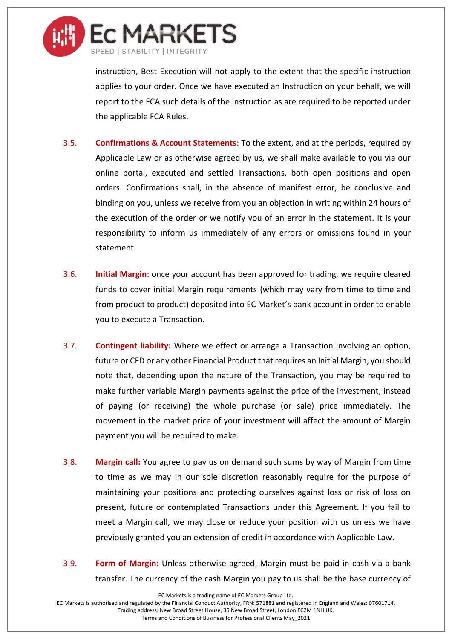

instruction, Best Execution will not apply to the extent that the specific instruction applies to your order. Once we have executed an Instruction on your behalf, we will report to the FCA such details of the Instruction as are required to be reported under the applicable FCA Rules.

- 3.5. **Confirmations & Account Statements**: To the extent, and at the periods, required by Applicable Law or as otherwise agreed by us, we shall make available to you via our online portal, executed and settled Transactions, both open positions and open orders. Confirmations shall, in the absence of manifest error, be conclusive and binding on you, unless we receive from you an objection in writing within 24 hours of the execution of the order or we notify you of an error in the statement. It is your responsibility to inform us immediately of any errors or omissions found in your statement.
- 3.6. **Initial Margin**: once your account has been approved for trading, we require cleared funds to cover initial Margin requirements (which may vary from time to time and from product to product) deposited into EC Market's bank account in order to enable you to execute a Transaction.
- 3.7. **Contingent liability:** Where we effect or arrange a Transaction involving an option, future or CFD or any other Financial Product that requires an Initial Margin, you should note that, depending upon the nature of the Transaction, you may be required to make further variable Margin payments against the price of the investment, instead of paying (or receiving) the whole purchase (or sale) price immediately. The movement in the market price of your investment will affect the amount of Margin payment you will be required to make.
- 3.8. **Margin call:** You agree to pay us on demand such sums by way of Margin from time to time as we may in our sole discretion reasonably require for the purpose of maintaining your positions and protecting ourselves against loss or risk of loss on present, future or contemplated Transactions under this Agreement. If you fail to meet a Margin call, we may close or reduce your position with us unless we have previously granted you an extension of credit in accordance with Applicable Law.
- 3.9. **Form of Margin:** Unless otherwise agreed, Margin must be paid in cash via a bank transfer. The currency of the cash Margin you pay to us shall be the base currency of

EC Markets is a trading name of EC Markets Group Ltd.

EC Markets is authorised and regulated by the Financial Conduct Authority, FRN: 571881 and registered in England and Wales: 07601714. Trading address: New Broad Street House, 35 New Broad Street, London EC2M 1NH UK.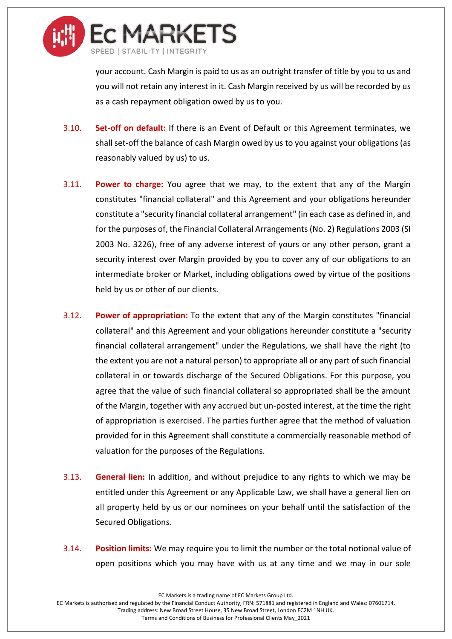

your account. Cash Margin is paid to us as an outright transfer of title by you to us and you will not retain any interest in it. Cash Margin received by us will be recorded by us as a cash repayment obligation owed by us to you.

- 3.10. **Set-off on default:** If there is an Event of Default or this Agreement terminates, we shall set-off the balance of cash Margin owed by us to you against your obligations (as reasonably valued by us) to us.
- 3.11. **Power to charge:** You agree that we may, to the extent that any of the Margin constitutes "financial collateral" and this Agreement and your obligations hereunder constitute a "security financial collateral arrangement" (in each case as defined in, and for the purposes of, the Financial Collateral Arrangements (No. 2) Regulations 2003 (SI 2003 No. 3226), free of any adverse interest of yours or any other person, grant a security interest over Margin provided by you to cover any of our obligations to an intermediate broker or Market, including obligations owed by virtue of the positions held by us or other of our clients.
- 3.12. **Power of appropriation:** To the extent that any of the Margin constitutes "financial collateral" and this Agreement and your obligations hereunder constitute a "security financial collateral arrangement" under the Regulations, we shall have the right (to the extent you are not a natural person) to appropriate all or any part of such financial collateral in or towards discharge of the Secured Obligations. For this purpose, you agree that the value of such financial collateral so appropriated shall be the amount of the Margin, together with any accrued but un-posted interest, at the time the right of appropriation is exercised. The parties further agree that the method of valuation provided for in this Agreement shall constitute a commercially reasonable method of valuation for the purposes of the Regulations.
- 3.13. **General lien:** In addition, and without prejudice to any rights to which we may be entitled under this Agreement or any Applicable Law, we shall have a general lien on all property held by us or our nominees on your behalf until the satisfaction of the Secured Obligations.
- 3.14. **Position limits:** We may require you to limit the number or the total notional value of open positions which you may have with us at any time and we may in our sole

EC Markets is a trading name of EC Markets Group Ltd.

EC Markets is authorised and regulated by the Financial Conduct Authority, FRN: 571881 and registered in England and Wales: 07601714. Trading address: New Broad Street House, 35 New Broad Street, London EC2M 1NH UK.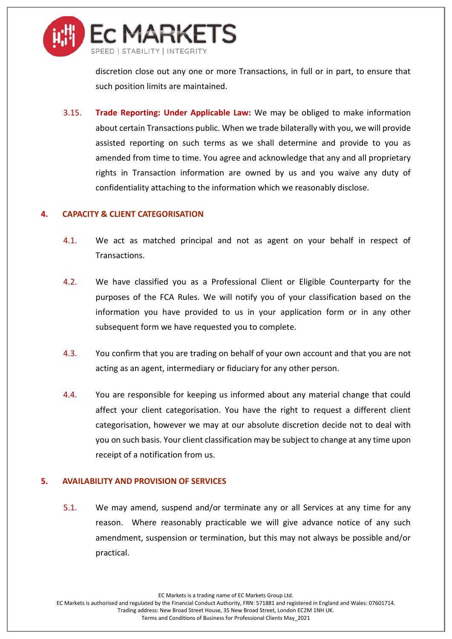

discretion close out any one or more Transactions, in full or in part, to ensure that such position limits are maintained.

3.15. **Trade Reporting: Under Applicable Law:** We may be obliged to make information about certain Transactions public. When we trade bilaterally with you, we will provide assisted reporting on such terms as we shall determine and provide to you as amended from time to time. You agree and acknowledge that any and all proprietary rights in Transaction information are owned by us and you waive any duty of confidentiality attaching to the information which we reasonably disclose.

#### **4. CAPACITY & CLIENT CATEGORISATION**

- 4.1. We act as matched principal and not as agent on your behalf in respect of Transactions.
- 4.2. We have classified you as a Professional Client or Eligible Counterparty for the purposes of the FCA Rules. We will notify you of your classification based on the information you have provided to us in your application form or in any other subsequent form we have requested you to complete.
- 4.3. You confirm that you are trading on behalf of your own account and that you are not acting as an agent, intermediary or fiduciary for any other person.
- 4.4. You are responsible for keeping us informed about any material change that could affect your client categorisation. You have the right to request a different client categorisation, however we may at our absolute discretion decide not to deal with you on such basis. Your client classification may be subject to change at any time upon receipt of a notification from us.

#### **5. AVAILABILITY AND PROVISION OF SERVICES**

5.1. We may amend, suspend and/or terminate any or all Services at any time for any reason. Where reasonably practicable we will give advance notice of any such amendment, suspension or termination, but this may not always be possible and/or practical.

EC Markets is a trading name of EC Markets Group Ltd.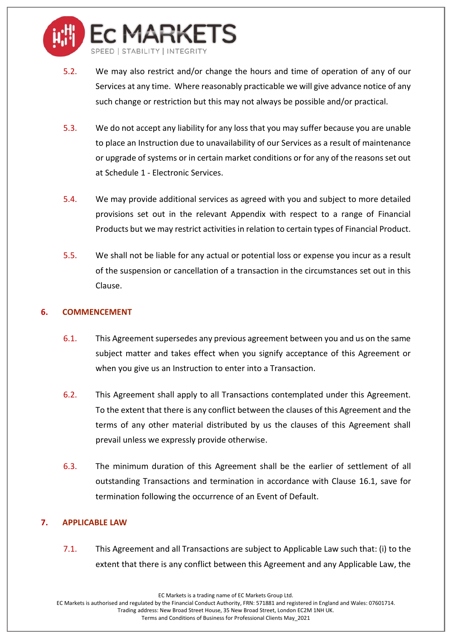

- 5.2. We may also restrict and/or change the hours and time of operation of any of our Services at any time. Where reasonably practicable we will give advance notice of any such change or restriction but this may not always be possible and/or practical.
- 5.3. We do not accept any liability for any loss that you may suffer because you are unable to place an Instruction due to unavailability of our Services as a result of maintenance or upgrade of systems or in certain market conditions or for any of the reasons set out at Schedule 1 - Electronic Services.
- 5.4. We may provide additional services as agreed with you and subject to more detailed provisions set out in the relevant Appendix with respect to a range of Financial Products but we may restrict activities in relation to certain types of Financial Product.
- 5.5. We shall not be liable for any actual or potential loss or expense you incur as a result of the suspension or cancellation of a transaction in the circumstances set out in this Clause.

# **6. COMMENCEMENT**

- 6.1. This Agreement supersedes any previous agreement between you and us on the same subject matter and takes effect when you signify acceptance of this Agreement or when you give us an Instruction to enter into a Transaction.
- 6.2. This Agreement shall apply to all Transactions contemplated under this Agreement. To the extent that there is any conflict between the clauses of this Agreement and the terms of any other material distributed by us the clauses of this Agreement shall prevail unless we expressly provide otherwise.
- 6.3. The minimum duration of this Agreement shall be the earlier of settlement of all outstanding Transactions and termination in accordance with Clause [16.1,](#page-22-0) save for termination following the occurrence of an Event of Default.

# <span id="page-13-0"></span>**7. APPLICABLE LAW**

7.1. This Agreement and all Transactions are subject to Applicable Law such that: (i) to the extent that there is any conflict between this Agreement and any Applicable Law, the

EC Markets is a trading name of EC Markets Group Ltd.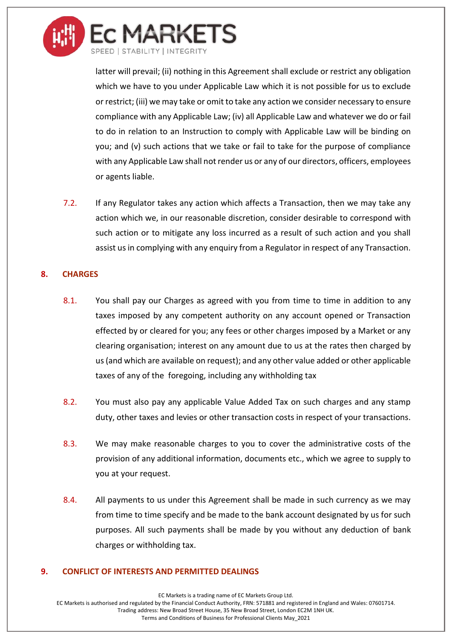

latter will prevail; (ii) nothing in this Agreement shall exclude or restrict any obligation which we have to you under Applicable Law which it is not possible for us to exclude or restrict; (iii) we may take or omit to take any action we consider necessary to ensure compliance with any Applicable Law; (iv) all Applicable Law and whatever we do or fail to do in relation to an Instruction to comply with Applicable Law will be binding on you; and (v) such actions that we take or fail to take for the purpose of compliance with any Applicable Law shall not render us or any of our directors, officers, employees or agents liable.

7.2. If any Regulator takes any action which affects a Transaction, then we may take any action which we, in our reasonable discretion, consider desirable to correspond with such action or to mitigate any loss incurred as a result of such action and you shall assist us in complying with any enquiry from a Regulator in respect of any Transaction.

## **8. CHARGES**

- 8.1. You shall pay our Charges as agreed with you from time to time in addition to any taxes imposed by any competent authority on any account opened or Transaction effected by or cleared for you; any fees or other charges imposed by a Market or any clearing organisation; interest on any amount due to us at the rates then charged by us (and which are available on request); and any other value added or other applicable taxes of any of the foregoing, including any withholding tax
- 8.2. You must also pay any applicable Value Added Tax on such charges and any stamp duty, other taxes and levies or other transaction costs in respect of your transactions.
- 8.3. We may make reasonable charges to you to cover the administrative costs of the provision of any additional information, documents etc., which we agree to supply to you at your request.
- 8.4. All payments to us under this Agreement shall be made in such currency as we may from time to time specify and be made to the bank account designated by us for such purposes. All such payments shall be made by you without any deduction of bank charges or withholding tax.

#### **9. CONFLICT OF INTERESTS AND PERMITTED DEALINGS**

EC Markets is a trading name of EC Markets Group Ltd.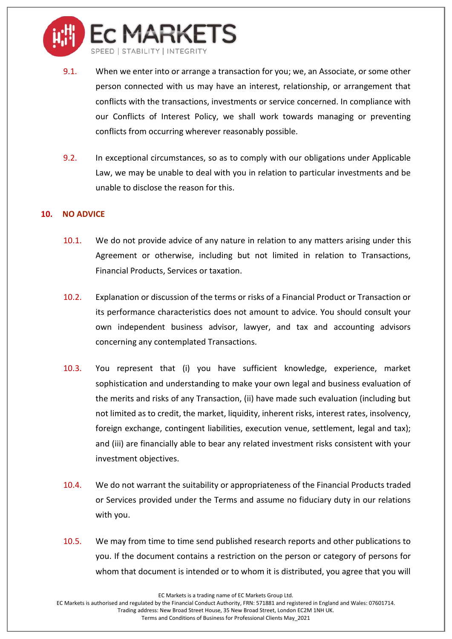

- 9.1. When we enter into or arrange a transaction for you; we, an Associate, or some other person connected with us may have an interest, relationship, or arrangement that conflicts with the transactions, investments or service concerned. In compliance with our Conflicts of Interest Policy, we shall work towards managing or preventing conflicts from occurring wherever reasonably possible.
- 9.2. In exceptional circumstances, so as to comply with our obligations under Applicable Law, we may be unable to deal with you in relation to particular investments and be unable to disclose the reason for this.

## **10. NO ADVICE**

- 10.1. We do not provide advice of any nature in relation to any matters arising under this Agreement or otherwise, including but not limited in relation to Transactions, Financial Products, Services or taxation.
- 10.2. Explanation or discussion of the terms or risks of a Financial Product or Transaction or its performance characteristics does not amount to advice. You should consult your own independent business advisor, lawyer, and tax and accounting advisors concerning any contemplated Transactions.
- 10.3. You represent that (i) you have sufficient knowledge, experience, market sophistication and understanding to make your own legal and business evaluation of the merits and risks of any Transaction, (ii) have made such evaluation (including but not limited as to credit, the market, liquidity, inherent risks, interest rates, insolvency, foreign exchange, contingent liabilities, execution venue, settlement, legal and tax); and (iii) are financially able to bear any related investment risks consistent with your investment objectives.
- 10.4. We do not warrant the suitability or appropriateness of the Financial Products traded or Services provided under the Terms and assume no fiduciary duty in our relations with you.
- 10.5. We may from time to time send published research reports and other publications to you. If the document contains a restriction on the person or category of persons for whom that document is intended or to whom it is distributed, you agree that you will

EC Markets is a trading name of EC Markets Group Ltd.

EC Markets is authorised and regulated by the Financial Conduct Authority, FRN: 571881 and registered in England and Wales: 07601714. Trading address: New Broad Street House, 35 New Broad Street, London EC2M 1NH UK.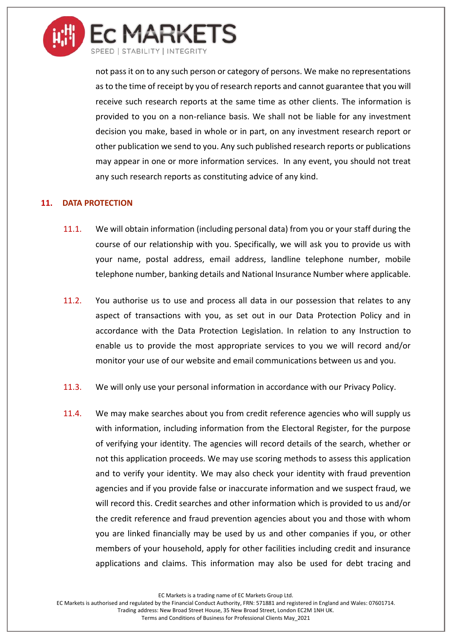

not pass it on to any such person or category of persons. We make no representations as to the time of receipt by you of research reports and cannot guarantee that you will receive such research reports at the same time as other clients. The information is provided to you on a non-reliance basis. We shall not be liable for any investment decision you make, based in whole or in part, on any investment research report or other publication we send to you. Any such published research reports or publications may appear in one or more information services. In any event, you should not treat any such research reports as constituting advice of any kind.

# **11. DATA PROTECTION**

- 11.1. We will obtain information (including personal data) from you or your staff during the course of our relationship with you. Specifically, we will ask you to provide us with your name, postal address, email address, landline telephone number, mobile telephone number, banking details and National Insurance Number where applicable.
- 11.2. You authorise us to use and process all data in our possession that relates to any aspect of transactions with you, as set out in our Data Protection Policy and in accordance with the Data Protection Legislation. In relation to any Instruction to enable us to provide the most appropriate services to you we will record and/or monitor your use of our website and email communications between us and you.
- 11.3. We will only use your personal information in accordance with our Privacy Policy.
- 11.4. We may make searches about you from credit reference agencies who will supply us with information, including information from the Electoral Register, for the purpose of verifying your identity. The agencies will record details of the search, whether or not this application proceeds. We may use scoring methods to assess this application and to verify your identity. We may also check your identity with fraud prevention agencies and if you provide false or inaccurate information and we suspect fraud, we will record this. Credit searches and other information which is provided to us and/or the credit reference and fraud prevention agencies about you and those with whom you are linked financially may be used by us and other companies if you, or other members of your household, apply for other facilities including credit and insurance applications and claims. This information may also be used for debt tracing and

EC Markets is a trading name of EC Markets Group Ltd.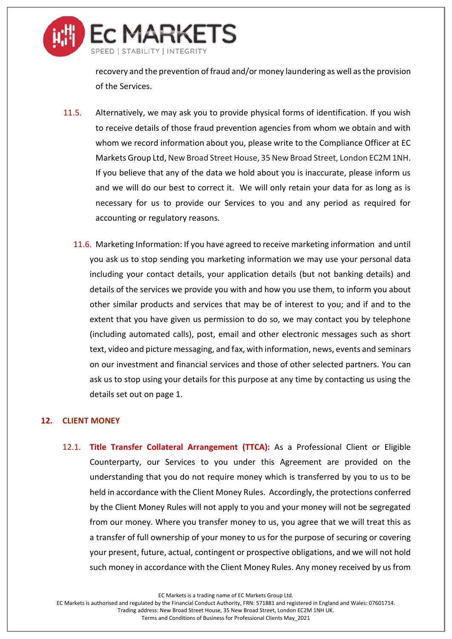

recovery and the prevention of fraud and/or money laundering as well as the provision of the Services.

- 11.5. Alternatively, we may ask you to provide physical forms of identification. If you wish to receive details of those fraud prevention agencies from whom we obtain and with whom we record information about you, please write to the Compliance Officer at EC Markets Group Ltd, New Broad Street House, 35 New Broad Street, London EC2M 1NH. If you believe that any of the data we hold about you is inaccurate, please inform us and we will do our best to correct it. We will only retain your data for as long as is necessary for us to provide our Services to you and any period as required for accounting or regulatory reasons.
	- 11.6. Marketing Information: If you have agreed to receive marketing information and until you ask us to stop sending you marketing information we may use your personal data including your contact details, your application details (but not banking details) and details of the services we provide you with and how you use them, to inform you about other similar products and services that may be of interest to you; and if and to the extent that you have given us permission to do so, we may contact you by telephone (including automated calls), post, email and other electronic messages such as short text, video and picture messaging, and fax, with information, news, events and seminars on our investment and financial services and those of other selected partners. You can ask us to stop using your details for this purpose at any time by contacting us using the details set out on page 1.

## **12. CLIENT MONEY**

<span id="page-17-0"></span>12.1. **Title Transfer Collateral Arrangement (TTCA):** As a Professional Client or Eligible Counterparty, our Services to you under this Agreement are provided on the understanding that you do not require money which is transferred by you to us to be held in accordance with the Client Money Rules. Accordingly, the protections conferred by the Client Money Rules will not apply to you and your money will not be segregated from our money. Where you transfer money to us, you agree that we will treat this as a transfer of full ownership of your money to us for the purpose of securing or covering your present, future, actual, contingent or prospective obligations, and we will not hold such money in accordance with the Client Money Rules. Any money received by us from

EC Markets is a trading name of EC Markets Group Ltd.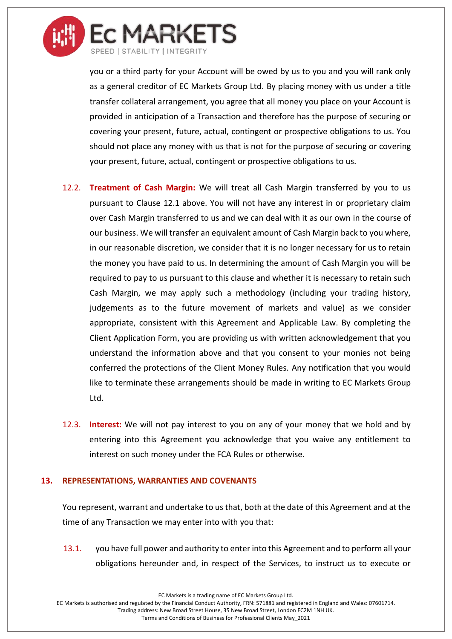

you or a third party for your Account will be owed by us to you and you will rank only as a general creditor of EC Markets Group Ltd. By placing money with us under a title transfer collateral arrangement, you agree that all money you place on your Account is provided in anticipation of a Transaction and therefore has the purpose of securing or covering your present, future, actual, contingent or prospective obligations to us. You should not place any money with us that is not for the purpose of securing or covering your present, future, actual, contingent or prospective obligations to us.

- 12.2. **Treatment of Cash Margin:** We will treat all Cash Margin transferred by you to us pursuant to Clause [12.1](#page-17-0) above. You will not have any interest in or proprietary claim over Cash Margin transferred to us and we can deal with it as our own in the course of our business. We will transfer an equivalent amount of Cash Margin back to you where, in our reasonable discretion, we consider that it is no longer necessary for us to retain the money you have paid to us. In determining the amount of Cash Margin you will be required to pay to us pursuant to this clause and whether it is necessary to retain such Cash Margin, we may apply such a methodology (including your trading history, judgements as to the future movement of markets and value) as we consider appropriate, consistent with this Agreement and Applicable Law. By completing the Client Application Form, you are providing us with written acknowledgement that you understand the information above and that you consent to your monies not being conferred the protections of the Client Money Rules. Any notification that you would like to terminate these arrangements should be made in writing to EC Markets Group Ltd.
- 12.3. **Interest:** We will not pay interest to you on any of your money that we hold and by entering into this Agreement you acknowledge that you waive any entitlement to interest on such money under the FCA Rules or otherwise.

#### **13. REPRESENTATIONS, WARRANTIES AND COVENANTS**

You represent, warrant and undertake to us that, both at the date of this Agreement and at the time of any Transaction we may enter into with you that:

13.1. you have full power and authority to enter into this Agreement and to perform all your obligations hereunder and, in respect of the Services, to instruct us to execute or

EC Markets is a trading name of EC Markets Group Ltd.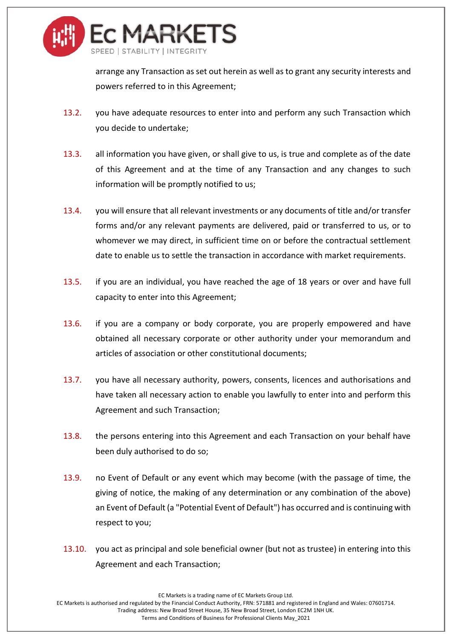

arrange any Transaction as set out herein as well as to grant any security interests and powers referred to in this Agreement;

- 13.2. you have adequate resources to enter into and perform any such Transaction which you decide to undertake;
- 13.3. all information you have given, or shall give to us, is true and complete as of the date of this Agreement and at the time of any Transaction and any changes to such information will be promptly notified to us;
- 13.4. you will ensure that all relevant investments or any documents of title and/or transfer forms and/or any relevant payments are delivered, paid or transferred to us, or to whomever we may direct, in sufficient time on or before the contractual settlement date to enable us to settle the transaction in accordance with market requirements.
- 13.5. if you are an individual, you have reached the age of 18 years or over and have full capacity to enter into this Agreement;
- 13.6. if you are a company or body corporate, you are properly empowered and have obtained all necessary corporate or other authority under your memorandum and articles of association or other constitutional documents;
- 13.7. you have all necessary authority, powers, consents, licences and authorisations and have taken all necessary action to enable you lawfully to enter into and perform this Agreement and such Transaction;
- 13.8. the persons entering into this Agreement and each Transaction on your behalf have been duly authorised to do so;
- 13.9. no Event of Default or any event which may become (with the passage of time, the giving of notice, the making of any determination or any combination of the above) an Event of Default (a "Potential Event of Default") has occurred and is continuing with respect to you;
- 13.10. you act as principal and sole beneficial owner (but not as trustee) in entering into this Agreement and each Transaction;

EC Markets is a trading name of EC Markets Group Ltd.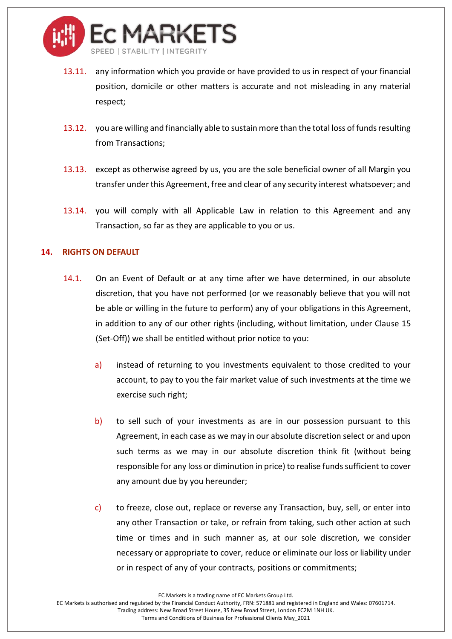

- 13.11. any information which you provide or have provided to us in respect of your financial position, domicile or other matters is accurate and not misleading in any material respect;
- 13.12. you are willing and financially able to sustain more than the total loss of funds resulting from Transactions;
- 13.13. except as otherwise agreed by us, you are the sole beneficial owner of all Margin you transfer under this Agreement, free and clear of any security interest whatsoever; and
- 13.14. you will comply with all Applicable Law in relation to this Agreement and any Transaction, so far as they are applicable to you or us.

## **14. RIGHTS ON DEFAULT**

- 14.1. On an Event of Default or at any time after we have determined, in our absolute discretion, that you have not performed (or we reasonably believe that you will not be able or willing in the future to perform) any of your obligations in this Agreement, in addition to any of our other rights (including, without limitation, under Clause [15](#page-21-0) (Set-Off)) we shall be entitled without prior notice to you:
	- a) instead of returning to you investments equivalent to those credited to your account, to pay to you the fair market value of such investments at the time we exercise such right;
	- b) to sell such of your investments as are in our possession pursuant to this Agreement, in each case as we may in our absolute discretion select or and upon such terms as we may in our absolute discretion think fit (without being responsible for any loss or diminution in price) to realise funds sufficient to cover any amount due by you hereunder;
	- c) to freeze, close out, replace or reverse any Transaction, buy, sell, or enter into any other Transaction or take, or refrain from taking, such other action at such time or times and in such manner as, at our sole discretion, we consider necessary or appropriate to cover, reduce or eliminate our loss or liability under or in respect of any of your contracts, positions or commitments;

EC Markets is a trading name of EC Markets Group Ltd.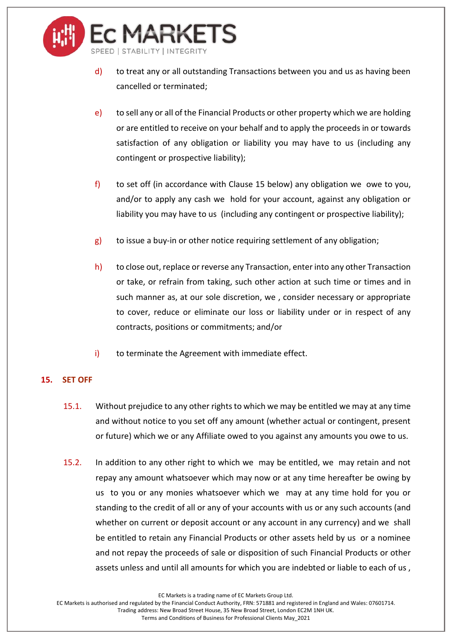

- d) to treat any or all outstanding Transactions between you and us as having been cancelled or terminated;
- e) to sell any or all of the Financial Products or other property which we are holding or are entitled to receive on your behalf and to apply the proceeds in or towards satisfaction of any obligation or liability you may have to us (including any contingent or prospective liability);
- f) to set off (in accordance with Clause [15](#page-21-0) below) any obligation we owe to you, and/or to apply any cash we hold for your account, against any obligation or liability you may have to us (including any contingent or prospective liability);
- $g$ ) to issue a buy-in or other notice requiring settlement of any obligation;
- h) to close out, replace or reverse any Transaction, enter into any other Transaction or take, or refrain from taking, such other action at such time or times and in such manner as, at our sole discretion, we , consider necessary or appropriate to cover, reduce or eliminate our loss or liability under or in respect of any contracts, positions or commitments; and/or
- i) to terminate the Agreement with immediate effect.

# <span id="page-21-0"></span>**15. SET OFF**

- 15.1. Without prejudice to any other rights to which we may be entitled we may at any time and without notice to you set off any amount (whether actual or contingent, present or future) which we or any Affiliate owed to you against any amounts you owe to us.
- 15.2. In addition to any other right to which we may be entitled, we may retain and not repay any amount whatsoever which may now or at any time hereafter be owing by us to you or any monies whatsoever which we may at any time hold for you or standing to the credit of all or any of your accounts with us or any such accounts (and whether on current or deposit account or any account in any currency) and we shall be entitled to retain any Financial Products or other assets held by us or a nominee and not repay the proceeds of sale or disposition of such Financial Products or other assets unless and until all amounts for which you are indebted or liable to each of us ,

EC Markets is a trading name of EC Markets Group Ltd.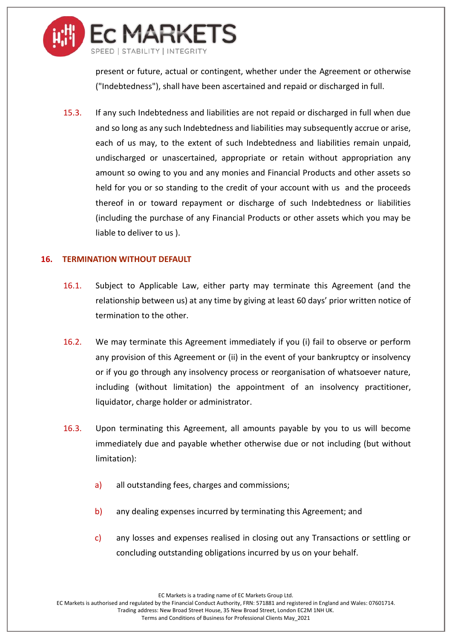

present or future, actual or contingent, whether under the Agreement or otherwise ("Indebtedness"), shall have been ascertained and repaid or discharged in full.

15.3. If any such Indebtedness and liabilities are not repaid or discharged in full when due and so long as any such Indebtedness and liabilities may subsequently accrue or arise, each of us may, to the extent of such Indebtedness and liabilities remain unpaid, undischarged or unascertained, appropriate or retain without appropriation any amount so owing to you and any monies and Financial Products and other assets so held for you or so standing to the credit of your account with us and the proceeds thereof in or toward repayment or discharge of such Indebtedness or liabilities (including the purchase of any Financial Products or other assets which you may be liable to deliver to us ).

#### **16. TERMINATION WITHOUT DEFAULT**

- <span id="page-22-0"></span>16.1. Subject to Applicable Law, either party may terminate this Agreement (and the relationship between us) at any time by giving at least 60 days' prior written notice of termination to the other.
- 16.2. We may terminate this Agreement immediately if you (i) fail to observe or perform any provision of this Agreement or (ii) in the event of your bankruptcy or insolvency or if you go through any insolvency process or reorganisation of whatsoever nature, including (without limitation) the appointment of an insolvency practitioner, liquidator, charge holder or administrator.
- 16.3. Upon terminating this Agreement, all amounts payable by you to us will become immediately due and payable whether otherwise due or not including (but without limitation):
	- a) all outstanding fees, charges and commissions;
	- b) any dealing expenses incurred by terminating this Agreement; and
	- c) any losses and expenses realised in closing out any Transactions or settling or concluding outstanding obligations incurred by us on your behalf.

EC Markets is a trading name of EC Markets Group Ltd.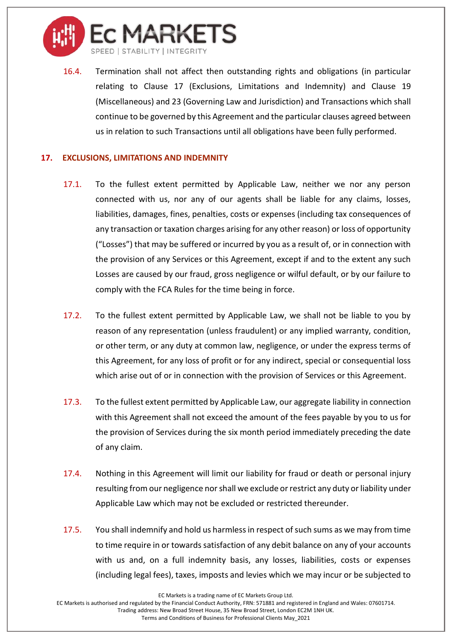

16.4. Termination shall not affect then outstanding rights and obligations (in particular relating to Clause [17](#page-23-0) (Exclusions, Limitations and Indemnity) and Clause [19](#page-24-0) (Miscellaneous) and [23](#page-30-0) (Governing Law and Jurisdiction) and Transactions which shall continue to be governed by this Agreement and the particular clauses agreed between us in relation to such Transactions until all obligations have been fully performed.

## <span id="page-23-0"></span>**17. EXCLUSIONS, LIMITATIONS AND INDEMNITY**

- 17.1. To the fullest extent permitted by Applicable Law, neither we nor any person connected with us, nor any of our agents shall be liable for any claims, losses, liabilities, damages, fines, penalties, costs or expenses (including tax consequences of any transaction or taxation charges arising for any other reason) or loss of opportunity ("Losses") that may be suffered or incurred by you as a result of, or in connection with the provision of any Services or this Agreement, except if and to the extent any such Losses are caused by our fraud, gross negligence or wilful default, or by our failure to comply with the FCA Rules for the time being in force.
- 17.2. To the fullest extent permitted by Applicable Law, we shall not be liable to you by reason of any representation (unless fraudulent) or any implied warranty, condition, or other term, or any duty at common law, negligence, or under the express terms of this Agreement, for any loss of profit or for any indirect, special or consequential loss which arise out of or in connection with the provision of Services or this Agreement.
- 17.3. To the fullest extent permitted by Applicable Law, our aggregate liability in connection with this Agreement shall not exceed the amount of the fees payable by you to us for the provision of Services during the six month period immediately preceding the date of any claim.
- 17.4. Nothing in this Agreement will limit our liability for fraud or death or personal injury resulting from our negligence nor shall we exclude or restrict any duty or liability under Applicable Law which may not be excluded or restricted thereunder.
- 17.5. You shall indemnify and hold us harmless in respect of such sums as we may from time to time require in or towards satisfaction of any debit balance on any of your accounts with us and, on a full indemnity basis, any losses, liabilities, costs or expenses (including legal fees), taxes, imposts and levies which we may incur or be subjected to

EC Markets is a trading name of EC Markets Group Ltd.

EC Markets is authorised and regulated by the Financial Conduct Authority, FRN: 571881 and registered in England and Wales: 07601714. Trading address: New Broad Street House, 35 New Broad Street, London EC2M 1NH UK.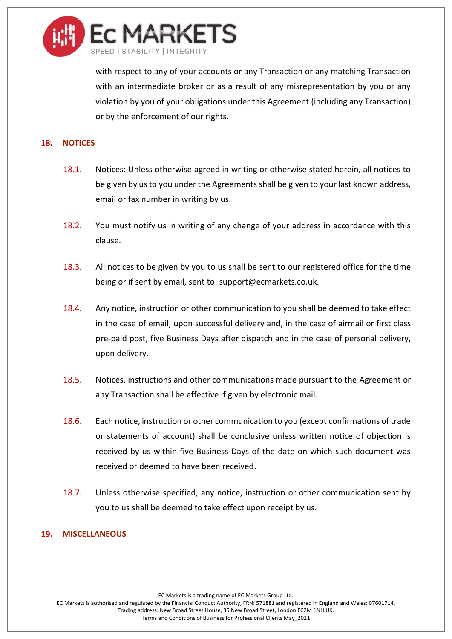

with respect to any of your accounts or any Transaction or any matching Transaction with an intermediate broker or as a result of any misrepresentation by you or any violation by you of your obligations under this Agreement (including any Transaction) or by the enforcement of our rights.

## **18. NOTICES**

- 18.1. Notices: Unless otherwise agreed in writing or otherwise stated herein, all notices to be given by us to you under the Agreementsshall be given to your last known address, email or fax number in writing by us.
- 18.2. You must notify us in writing of any change of your address in accordance with this clause.
- 18.3. All notices to be given by you to us shall be sent to our registered office for the time being or if sent by email, sent to: support@ecmarkets.co.uk.
- 18.4. Any notice, instruction or other communication to you shall be deemed to take effect in the case of email, upon successful delivery and, in the case of airmail or first class pre-paid post, five Business Days after dispatch and in the case of personal delivery, upon delivery.
- 18.5. Notices, instructions and other communications made pursuant to the Agreement or any Transaction shall be effective if given by electronic mail.
- 18.6. Each notice, instruction or other communication to you (except confirmations of trade or statements of account) shall be conclusive unless written notice of objection is received by us within five Business Days of the date on which such document was received or deemed to have been received.
- 18.7. Unless otherwise specified, any notice, instruction or other communication sent by you to us shall be deemed to take effect upon receipt by us.

#### <span id="page-24-0"></span>**19. MISCELLANEOUS**

EC Markets is a trading name of EC Markets Group Ltd.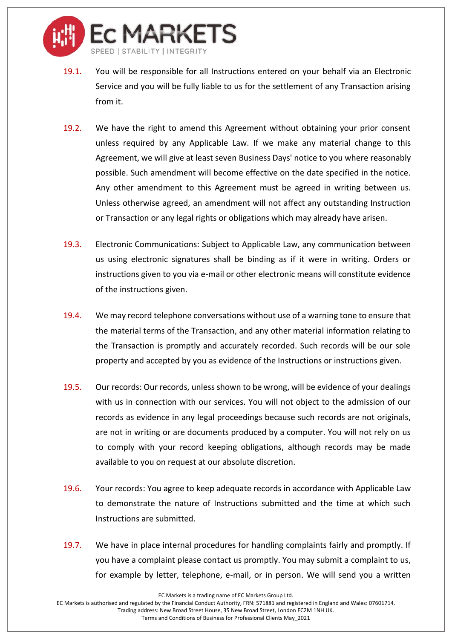

- 19.1. You will be responsible for all Instructions entered on your behalf via an Electronic Service and you will be fully liable to us for the settlement of any Transaction arising from it.
- 19.2. We have the right to amend this Agreement without obtaining your prior consent unless required by any Applicable Law. If we make any material change to this Agreement, we will give at least seven Business Days' notice to you where reasonably possible. Such amendment will become effective on the date specified in the notice. Any other amendment to this Agreement must be agreed in writing between us. Unless otherwise agreed, an amendment will not affect any outstanding Instruction or Transaction or any legal rights or obligations which may already have arisen.
- 19.3. Electronic Communications: Subject to Applicable Law, any communication between us using electronic signatures shall be binding as if it were in writing. Orders or instructions given to you via e-mail or other electronic means will constitute evidence of the instructions given.
- 19.4. We may record telephone conversations without use of a warning tone to ensure that the material terms of the Transaction, and any other material information relating to the Transaction is promptly and accurately recorded. Such records will be our sole property and accepted by you as evidence of the Instructions or instructions given.
- 19.5. Our records: Our records, unless shown to be wrong, will be evidence of your dealings with us in connection with our services. You will not object to the admission of our records as evidence in any legal proceedings because such records are not originals, are not in writing or are documents produced by a computer. You will not rely on us to comply with your record keeping obligations, although records may be made available to you on request at our absolute discretion.
- 19.6. Your records: You agree to keep adequate records in accordance with Applicable Law to demonstrate the nature of Instructions submitted and the time at which such Instructions are submitted.
- 19.7. We have in place internal procedures for handling complaints fairly and promptly. If you have a complaint please contact us promptly. You may submit a complaint to us, for example by letter, telephone, e-mail, or in person. We will send you a written

EC Markets is authorised and regulated by the Financial Conduct Authority, FRN: 571881 and registered in England and Wales: 07601714. Trading address: New Broad Street House, 35 New Broad Street, London EC2M 1NH UK.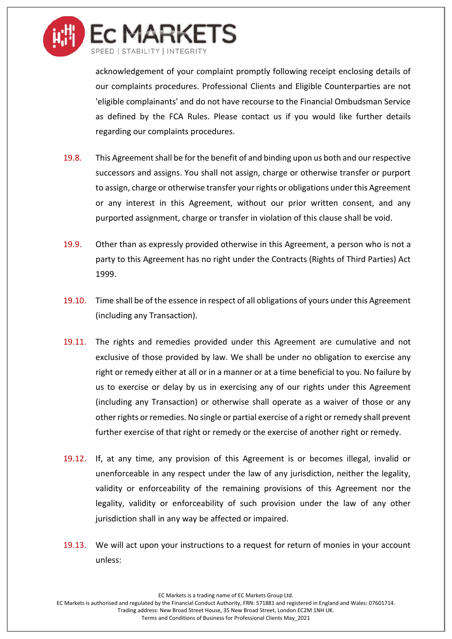

acknowledgement of your complaint promptly following receipt enclosing details of our complaints procedures. Professional Clients and Eligible Counterparties are not 'eligible complainants' and do not have recourse to the Financial Ombudsman Service as defined by the FCA Rules. Please contact us if you would like further details regarding our complaints procedures.

- 19.8. This Agreement shall be for the benefit of and binding upon us both and our respective successors and assigns. You shall not assign, charge or otherwise transfer or purport to assign, charge or otherwise transfer your rights or obligations under this Agreement or any interest in this Agreement, without our prior written consent, and any purported assignment, charge or transfer in violation of this clause shall be void.
- 19.9. Other than as expressly provided otherwise in this Agreement, a person who is not a party to this Agreement has no right under the Contracts (Rights of Third Parties) Act 1999.
- 19.10. Time shall be of the essence in respect of all obligations of yours under this Agreement (including any Transaction).
- 19.11. The rights and remedies provided under this Agreement are cumulative and not exclusive of those provided by law. We shall be under no obligation to exercise any right or remedy either at all or in a manner or at a time beneficial to you. No failure by us to exercise or delay by us in exercising any of our rights under this Agreement (including any Transaction) or otherwise shall operate as a waiver of those or any other rights or remedies. No single or partial exercise of a right or remedy shall prevent further exercise of that right or remedy or the exercise of another right or remedy.
- 19.12. If, at any time, any provision of this Agreement is or becomes illegal, invalid or unenforceable in any respect under the law of any jurisdiction, neither the legality, validity or enforceability of the remaining provisions of this Agreement nor the legality, validity or enforceability of such provision under the law of any other jurisdiction shall in any way be affected or impaired.
- 19.13. We will act upon your instructions to a request for return of monies in your account unless:

EC Markets is a trading name of EC Markets Group Ltd.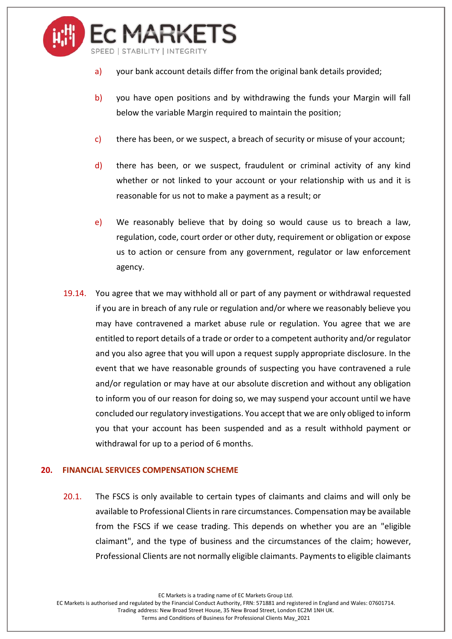

- a) your bank account details differ from the original bank details provided;
- b) you have open positions and by withdrawing the funds your Margin will fall below the variable Margin required to maintain the position;
- $c$ ) there has been, or we suspect, a breach of security or misuse of your account;
- d) there has been, or we suspect, fraudulent or criminal activity of any kind whether or not linked to your account or your relationship with us and it is reasonable for us not to make a payment as a result; or
- e) We reasonably believe that by doing so would cause us to breach a law, regulation, code, court order or other duty, requirement or obligation or expose us to action or censure from any government, regulator or law enforcement agency.
- 19.14. You agree that we may withhold all or part of any payment or withdrawal requested if you are in breach of any rule or regulation and/or where we reasonably believe you may have contravened a market abuse rule or regulation. You agree that we are entitled to report details of a trade or order to a competent authority and/or regulator and you also agree that you will upon a request supply appropriate disclosure. In the event that we have reasonable grounds of suspecting you have contravened a rule and/or regulation or may have at our absolute discretion and without any obligation to inform you of our reason for doing so, we may suspend your account until we have concluded our regulatory investigations. You accept that we are only obliged to inform you that your account has been suspended and as a result withhold payment or withdrawal for up to a period of 6 months.

#### **20. FINANCIAL SERVICES COMPENSATION SCHEME**

20.1. The FSCS is only available to certain types of claimants and claims and will only be available to Professional Clients in rare circumstances. Compensation may be available from the FSCS if we cease trading. This depends on whether you are an "eligible claimant", and the type of business and the circumstances of the claim; however, Professional Clients are not normally eligible claimants. Payments to eligible claimants

EC Markets is a trading name of EC Markets Group Ltd.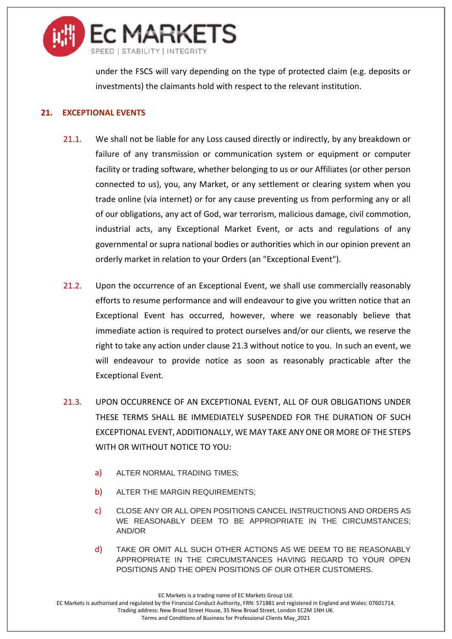

under the FSCS will vary depending on the type of protected claim (e.g. deposits or investments) the claimants hold with respect to the relevant institution.

## **21. EXCEPTIONAL EVENTS**

- 21.1. We shall not be liable for any Loss caused directly or indirectly, by any breakdown or failure of any transmission or communication system or equipment or computer facility or trading software, whether belonging to us or our Affiliates (or other person connected to us), you, any Market, or any settlement or clearing system when you trade online (via internet) or for any cause preventing us from performing any or all of our obligations, any act of God, war terrorism, malicious damage, civil commotion, industrial acts, any Exceptional Market Event, or acts and regulations of any governmental or supra national bodies or authorities which in our opinion prevent an orderly market in relation to your Orders (an "Exceptional Event").
- 21.2. Upon the occurrence of an Exceptional Event, we shall use commercially reasonably efforts to resume performance and will endeavour to give you written notice that an Exceptional Event has occurred, however, where we reasonably believe that immediate action is required to protect ourselves and/or our clients, we reserve the right to take any action under claus[e 21.3](#page-28-0) without notice to you. In such an event, we will endeavour to provide notice as soon as reasonably practicable after the Exceptional Event.
- <span id="page-28-0"></span>21.3. UPON OCCURRENCE OF AN EXCEPTIONAL EVENT, ALL OF OUR OBLIGATIONS UNDER THESE TERMS SHALL BE IMMEDIATELY SUSPENDED FOR THE DURATION OF SUCH EXCEPTIONAL EVENT, ADDITIONALLY, WE MAY TAKE ANY ONE OR MORE OF THE STEPS WITH OR WITHOUT NOTICE TO YOU:
	- a) ALTER NORMAL TRADING TIMES;
	- b) ALTER THE MARGIN REQUIREMENTS;
	- c) CLOSE ANY OR ALL OPEN POSITIONS CANCEL INSTRUCTIONS AND ORDERS AS WE REASONABLY DEEM TO BE APPROPRIATE IN THE CIRCUMSTANCES; AND/OR
	- d) TAKE OR OMIT ALL SUCH OTHER ACTIONS AS WE DEEM TO BE REASONABLY APPROPRIATE IN THE CIRCUMSTANCES HAVING REGARD TO YOUR OPEN POSITIONS AND THE OPEN POSITIONS OF OUR OTHER CUSTOMERS.

EC Markets is a trading name of EC Markets Group Ltd.

EC Markets is authorised and regulated by the Financial Conduct Authority, FRN: 571881 and registered in England and Wales: 07601714. Trading address: New Broad Street House, 35 New Broad Street, London EC2M 1NH UK.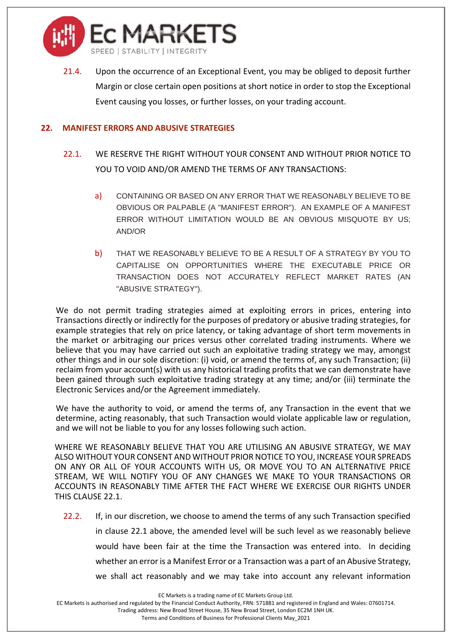

21.4. Upon the occurrence of an Exceptional Event, you may be obliged to deposit further Margin or close certain open positions at short notice in order to stop the Exceptional Event causing you losses, or further losses, on your trading account.

#### **22. MANIFEST ERRORS AND ABUSIVE STRATEGIES**

- <span id="page-29-0"></span>22.1. WE RESERVE THE RIGHT WITHOUT YOUR CONSENT AND WITHOUT PRIOR NOTICE TO YOU TO VOID AND/OR AMEND THE TERMS OF ANY TRANSACTIONS:
	- a) CONTAINING OR BASED ON ANY ERROR THAT WE REASONABLY BELIEVE TO BE OBVIOUS OR PALPABLE (A "MANIFEST ERROR"). AN EXAMPLE OF A MANIFEST ERROR WITHOUT LIMITATION WOULD BE AN OBVIOUS MISQUOTE BY US; AND/OR
	- b) THAT WE REASONABLY BELIEVE TO BE A RESULT OF A STRATEGY BY YOU TO CAPITALISE ON OPPORTUNITIES WHERE THE EXECUTABLE PRICE OR TRANSACTION DOES NOT ACCURATELY REFLECT MARKET RATES (AN "ABUSIVE STRATEGY").

We do not permit trading strategies aimed at exploiting errors in prices, entering into Transactions directly or indirectly for the purposes of predatory or abusive trading strategies, for example strategies that rely on price latency, or taking advantage of short term movements in the market or arbitraging our prices versus other correlated trading instruments. Where we believe that you may have carried out such an exploitative trading strategy we may, amongst other things and in our sole discretion: (i) void, or amend the terms of, any such Transaction; (ii) reclaim from your account(s) with us any historical trading profits that we can demonstrate have been gained through such exploitative trading strategy at any time; and/or (iii) terminate the Electronic Services and/or the Agreement immediately.

We have the authority to void, or amend the terms of, any Transaction in the event that we determine, acting reasonably, that such Transaction would violate applicable law or regulation, and we will not be liable to you for any losses following such action.

WHERE WE REASONABLY BELIEVE THAT YOU ARE UTILISING AN ABUSIVE STRATEGY, WE MAY ALSO WITHOUT YOUR CONSENT AND WITHOUT PRIOR NOTICE TO YOU, INCREASE YOUR SPREADS ON ANY OR ALL OF YOUR ACCOUNTS WITH US, OR MOVE YOU TO AN ALTERNATIVE PRICE STREAM, WE WILL NOTIFY YOU OF ANY CHANGES WE MAKE TO YOUR TRANSACTIONS OR ACCOUNTS IN REASONABLY TIME AFTER THE FACT WHERE WE EXERCISE OUR RIGHTS UNDER THIS CLAUS[E 22.1.](#page-29-0)

22.2. If, in our discretion, we choose to amend the terms of any such Transaction specified in clause [22.1](#page-29-0) above, the amended level will be such level as we reasonably believe would have been fair at the time the Transaction was entered into. In deciding whether an error is a Manifest Error or a Transaction was a part of an Abusive Strategy, we shall act reasonably and we may take into account any relevant information

EC Markets is a trading name of EC Markets Group Ltd.

EC Markets is authorised and regulated by the Financial Conduct Authority, FRN: 571881 and registered in England and Wales: 07601714. Trading address: New Broad Street House, 35 New Broad Street, London EC2M 1NH UK.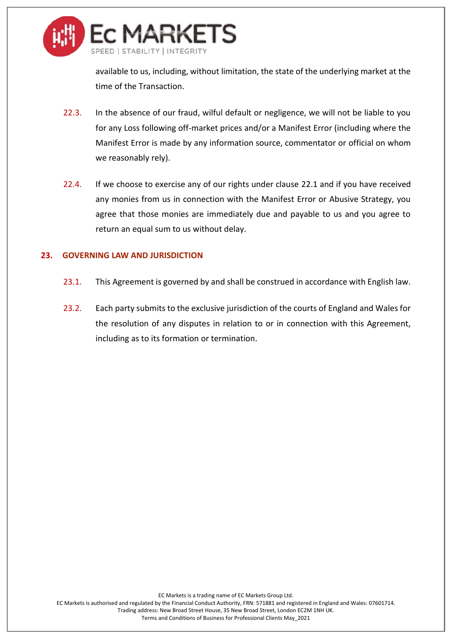

available to us, including, without limitation, the state of the underlying market at the time of the Transaction.

- 22.3. In the absence of our fraud, wilful default or negligence, we will not be liable to you for any Loss following off-market prices and/or a Manifest Error (including where the Manifest Error is made by any information source, commentator or official on whom we reasonably rely).
- 22.4. If we choose to exercise any of our rights under clause [22.1](#page-29-0) and if you have received any monies from us in connection with the Manifest Error or Abusive Strategy, you agree that those monies are immediately due and payable to us and you agree to return an equal sum to us without delay.

## <span id="page-30-0"></span>**23. GOVERNING LAW AND JURISDICTION**

- 23.1. This Agreement is governed by and shall be construed in accordance with English law.
- 23.2. Each party submits to the exclusive jurisdiction of the courts of England and Wales for the resolution of any disputes in relation to or in connection with this Agreement, including as to its formation or termination.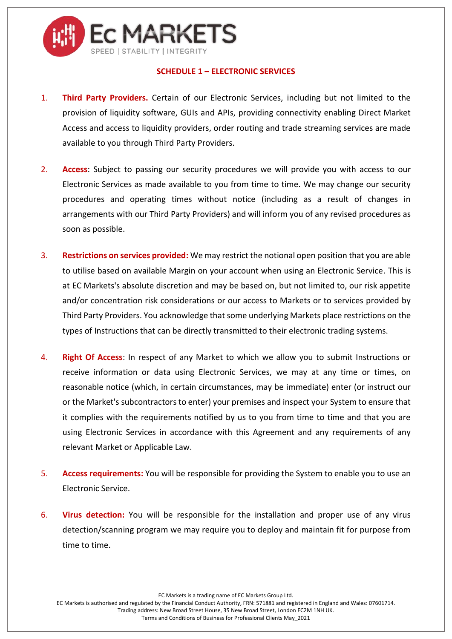

### **SCHEDULE 1 – ELECTRONIC SERVICES**

- 1. **Third Party Providers.** Certain of our Electronic Services, including but not limited to the provision of liquidity software, GUIs and APIs, providing connectivity enabling Direct Market Access and access to liquidity providers, order routing and trade streaming services are made available to you through Third Party Providers.
- 2. **Access**: Subject to passing our security procedures we will provide you with access to our Electronic Services as made available to you from time to time. We may change our security procedures and operating times without notice (including as a result of changes in arrangements with our Third Party Providers) and will inform you of any revised procedures as soon as possible.
- 3. **Restrictions on services provided:** We may restrict the notional open position that you are able to utilise based on available Margin on your account when using an Electronic Service. This is at EC Markets's absolute discretion and may be based on, but not limited to, our risk appetite and/or concentration risk considerations or our access to Markets or to services provided by Third Party Providers. You acknowledge that some underlying Markets place restrictions on the types of Instructions that can be directly transmitted to their electronic trading systems.
- 4. **Right Of Access**: In respect of any Market to which we allow you to submit Instructions or receive information or data using Electronic Services, we may at any time or times, on reasonable notice (which, in certain circumstances, may be immediate) enter (or instruct our or the Market's subcontractors to enter) your premises and inspect your System to ensure that it complies with the requirements notified by us to you from time to time and that you are using Electronic Services in accordance with this Agreement and any requirements of any relevant Market or Applicable Law.
- 5. **Access requirements:** You will be responsible for providing the System to enable you to use an Electronic Service.
- 6. **Virus detection:** You will be responsible for the installation and proper use of any virus detection/scanning program we may require you to deploy and maintain fit for purpose from time to time.

EC Markets is a trading name of EC Markets Group Ltd.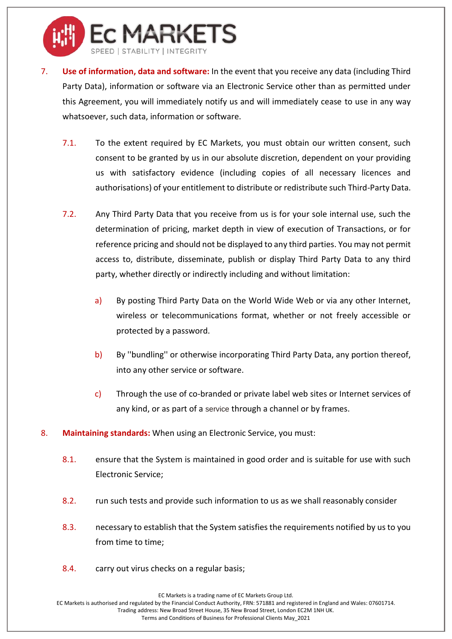

- 7. **Use of information, data and software:** In the event that you receive any data (including Third Party Data), information or software via an Electronic Service other than as permitted under this Agreement, you will immediately notify us and will immediately cease to use in any way whatsoever, such data, information or software.
	- 7.1. To the extent required by EC Markets, you must obtain our written consent, such consent to be granted by us in our absolute discretion, dependent on your providing us with satisfactory evidence (including copies of all necessary licences and authorisations) of your entitlement to distribute or redistribute such Third-Party Data.
	- 7.2. Any Third Party Data that you receive from us is for your sole internal use, such the determination of pricing, market depth in view of execution of Transactions, or for reference pricing and should not be displayed to any third parties. You may not permit access to, distribute, disseminate, publish or display Third Party Data to any third party, whether directly or indirectly including and without limitation:
		- a) By posting Third Party Data on the World Wide Web or via any other Internet, wireless or telecommunications format, whether or not freely accessible or protected by a password.
		- b) By ''bundling'' or otherwise incorporating Third Party Data, any portion thereof, into any other service or software.
		- c) Through the use of co-branded or private label web sites or Internet services of any kind, or as part of a service through a channel or by frames.
- 8. **Maintaining standards:** When using an Electronic Service, you must:
	- 8.1. ensure that the System is maintained in good order and is suitable for use with such Electronic Service;
	- 8.2. run such tests and provide such information to us as we shall reasonably consider
	- 8.3. necessary to establish that the System satisfies the requirements notified by us to you from time to time;
	- 8.4. carry out virus checks on a regular basis;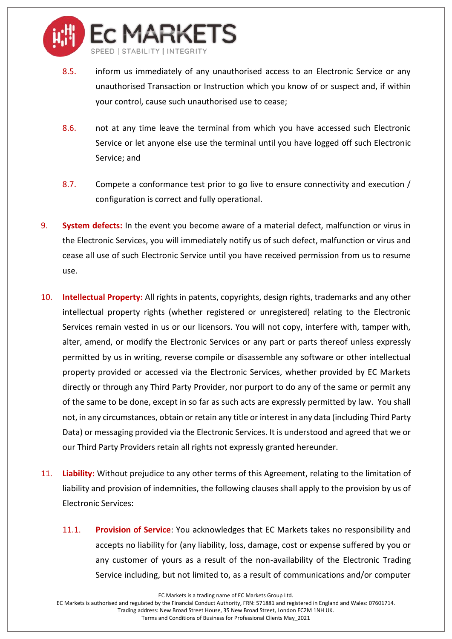

- 8.5. inform us immediately of any unauthorised access to an Electronic Service or any unauthorised Transaction or Instruction which you know of or suspect and, if within your control, cause such unauthorised use to cease;
- 8.6. not at any time leave the terminal from which you have accessed such Electronic Service or let anyone else use the terminal until you have logged off such Electronic Service; and
- 8.7. Compete a conformance test prior to go live to ensure connectivity and execution / configuration is correct and fully operational.
- 9. **System defects:** In the event you become aware of a material defect, malfunction or virus in the Electronic Services, you will immediately notify us of such defect, malfunction or virus and cease all use of such Electronic Service until you have received permission from us to resume use.
- 10. **Intellectual Property:** All rights in patents, copyrights, design rights, trademarks and any other intellectual property rights (whether registered or unregistered) relating to the Electronic Services remain vested in us or our licensors. You will not copy, interfere with, tamper with, alter, amend, or modify the Electronic Services or any part or parts thereof unless expressly permitted by us in writing, reverse compile or disassemble any software or other intellectual property provided or accessed via the Electronic Services, whether provided by EC Markets directly or through any Third Party Provider, nor purport to do any of the same or permit any of the same to be done, except in so far as such acts are expressly permitted by law. You shall not, in any circumstances, obtain or retain any title or interest in any data (including Third Party Data) or messaging provided via the Electronic Services. It is understood and agreed that we or our Third Party Providers retain all rights not expressly granted hereunder.
- 11. **Liability:** Without prejudice to any other terms of this Agreement, relating to the limitation of liability and provision of indemnities, the following clauses shall apply to the provision by us of Electronic Services:
	- 11.1. **Provision of Service**: You acknowledges that EC Markets takes no responsibility and accepts no liability for (any liability, loss, damage, cost or expense suffered by you or any customer of yours as a result of the non-availability of the Electronic Trading Service including, but not limited to, as a result of communications and/or computer

EC Markets is authorised and regulated by the Financial Conduct Authority, FRN: 571881 and registered in England and Wales: 07601714. Trading address: New Broad Street House, 35 New Broad Street, London EC2M 1NH UK.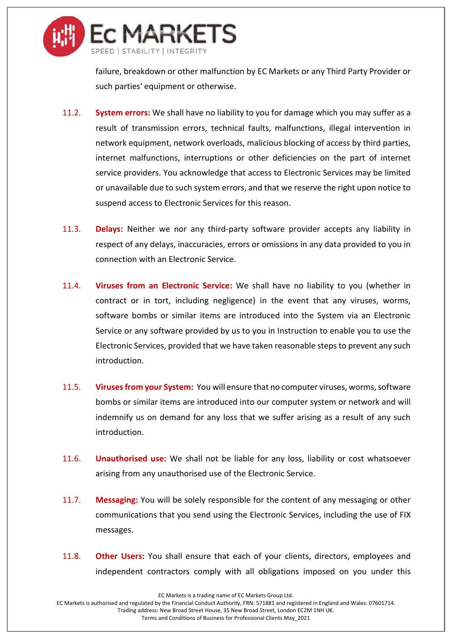

failure, breakdown or other malfunction by EC Markets or any Third Party Provider or such parties' equipment or otherwise.

- 11.2. **System errors:** We shall have no liability to you for damage which you may suffer as a result of transmission errors, technical faults, malfunctions, illegal intervention in network equipment, network overloads, malicious blocking of access by third parties, internet malfunctions, interruptions or other deficiencies on the part of internet service providers. You acknowledge that access to Electronic Services may be limited or unavailable due to such system errors, and that we reserve the right upon notice to suspend access to Electronic Services for this reason.
- 11.3. **Delays:** Neither we nor any third-party software provider accepts any liability in respect of any delays, inaccuracies, errors or omissions in any data provided to you in connection with an Electronic Service.
- 11.4. **Viruses from an Electronic Service:** We shall have no liability to you (whether in contract or in tort, including negligence) in the event that any viruses, worms, software bombs or similar items are introduced into the System via an Electronic Service or any software provided by us to you in Instruction to enable you to use the Electronic Services, provided that we have taken reasonable steps to prevent any such introduction.
- 11.5. **Viruses from your System:** You will ensure that no computer viruses, worms, software bombs or similar items are introduced into our computer system or network and will indemnify us on demand for any loss that we suffer arising as a result of any such introduction.
- 11.6. **Unauthorised use:** We shall not be liable for any loss, liability or cost whatsoever arising from any unauthorised use of the Electronic Service.
- 11.7. **Messaging:** You will be solely responsible for the content of any messaging or other communications that you send using the Electronic Services, including the use of FIX messages.
- 11.8. **Other Users:** You shall ensure that each of your clients, directors, employees and independent contractors comply with all obligations imposed on you under this

EC Markets is a trading name of EC Markets Group Ltd.

EC Markets is authorised and regulated by the Financial Conduct Authority, FRN: 571881 and registered in England and Wales: 07601714. Trading address: New Broad Street House, 35 New Broad Street, London EC2M 1NH UK.